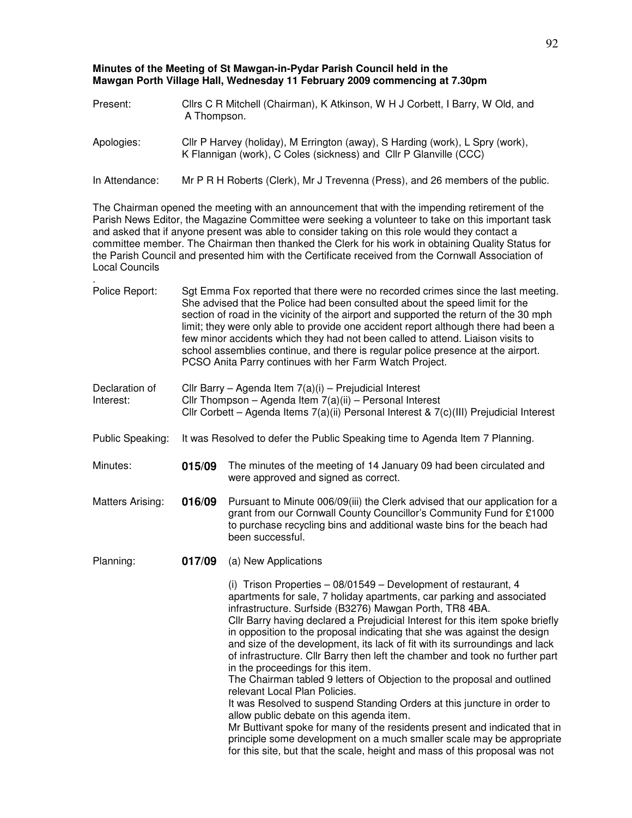## **Minutes of the Meeting of St Mawgan-in-Pydar Parish Council held in the Mawgan Porth Village Hall, Wednesday 11 February 2009 commencing at 7.30pm**

| Present:       | Cllrs C R Mitchell (Chairman), K Atkinson, W H J Corbett, I Barry, W Old, and<br>A Thompson.                                                       |
|----------------|----------------------------------------------------------------------------------------------------------------------------------------------------|
| Apologies:     | Cllr P Harvey (holiday), M Errington (away), S Harding (work), L Spry (work),<br>K Flannigan (work), C Coles (sickness) and Cllr P Glanville (CCC) |
| In Attendance: | Mr P R H Roberts (Clerk), Mr J Trevenna (Press), and 26 members of the public.                                                                     |

The Chairman opened the meeting with an announcement that with the impending retirement of the Parish News Editor, the Magazine Committee were seeking a volunteer to take on this important task and asked that if anyone present was able to consider taking on this role would they contact a committee member. The Chairman then thanked the Clerk for his work in obtaining Quality Status for the Parish Council and presented him with the Certificate received from the Cornwall Association of Local Councils

- . Police Report: Sgt Emma Fox reported that there were no recorded crimes since the last meeting. She advised that the Police had been consulted about the speed limit for the section of road in the vicinity of the airport and supported the return of the 30 mph limit; they were only able to provide one accident report although there had been a few minor accidents which they had not been called to attend. Liaison visits to school assemblies continue, and there is regular police presence at the airport. PCSO Anita Parry continues with her Farm Watch Project.
- Declaration of Interest: Cllr Barry – Agenda Item 7(a)(i) – Prejudicial Interest Cllr Thompson – Agenda Item 7(a)(ii) – Personal Interest Cllr Corbett – Agenda Items 7(a)(ii) Personal Interest & 7(c)(III) Prejudicial Interest
- Public Speaking: It was Resolved to defer the Public Speaking time to Agenda Item 7 Planning.
- Minutes: **015/09** The minutes of the meeting of 14 January 09 had been circulated and were approved and signed as correct.
- Matters Arising: **016/09** Pursuant to Minute 006/09(iii) the Clerk advised that our application for a grant from our Cornwall County Councillor's Community Fund for £1000 to purchase recycling bins and additional waste bins for the beach had been successful.
- Planning: **017/09** (a) New Applications

(i) Trison Properties – 08/01549 – Development of restaurant, 4 apartments for sale, 7 holiday apartments, car parking and associated infrastructure. Surfside (B3276) Mawgan Porth, TR8 4BA. Cllr Barry having declared a Prejudicial Interest for this item spoke briefly in opposition to the proposal indicating that she was against the design and size of the development, its lack of fit with its surroundings and lack of infrastructure. Cllr Barry then left the chamber and took no further part in the proceedings for this item.

The Chairman tabled 9 letters of Objection to the proposal and outlined relevant Local Plan Policies.

It was Resolved to suspend Standing Orders at this juncture in order to allow public debate on this agenda item.

Mr Buttivant spoke for many of the residents present and indicated that in principle some development on a much smaller scale may be appropriate for this site, but that the scale, height and mass of this proposal was not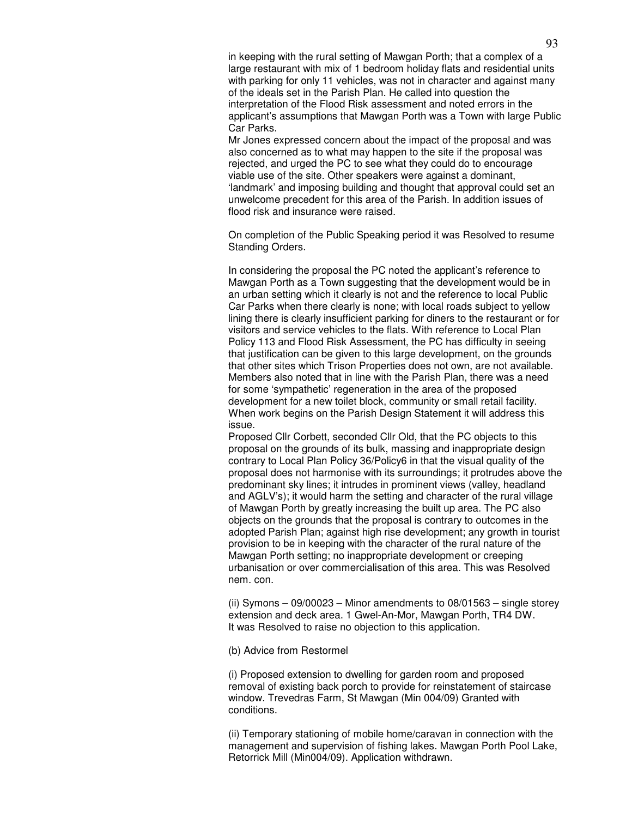in keeping with the rural setting of Mawgan Porth; that a complex of a large restaurant with mix of 1 bedroom holiday flats and residential units with parking for only 11 vehicles, was not in character and against many of the ideals set in the Parish Plan. He called into question the interpretation of the Flood Risk assessment and noted errors in the applicant's assumptions that Mawgan Porth was a Town with large Public Car Parks.

Mr Jones expressed concern about the impact of the proposal and was also concerned as to what may happen to the site if the proposal was rejected, and urged the PC to see what they could do to encourage viable use of the site. Other speakers were against a dominant, 'landmark' and imposing building and thought that approval could set an unwelcome precedent for this area of the Parish. In addition issues of flood risk and insurance were raised.

On completion of the Public Speaking period it was Resolved to resume Standing Orders.

In considering the proposal the PC noted the applicant's reference to Mawgan Porth as a Town suggesting that the development would be in an urban setting which it clearly is not and the reference to local Public Car Parks when there clearly is none; with local roads subject to yellow lining there is clearly insufficient parking for diners to the restaurant or for visitors and service vehicles to the flats. With reference to Local Plan Policy 113 and Flood Risk Assessment, the PC has difficulty in seeing that justification can be given to this large development, on the grounds that other sites which Trison Properties does not own, are not available. Members also noted that in line with the Parish Plan, there was a need for some 'sympathetic' regeneration in the area of the proposed development for a new toilet block, community or small retail facility. When work begins on the Parish Design Statement it will address this issue.

Proposed Cllr Corbett, seconded Cllr Old, that the PC objects to this proposal on the grounds of its bulk, massing and inappropriate design contrary to Local Plan Policy 36/Policy6 in that the visual quality of the proposal does not harmonise with its surroundings; it protrudes above the predominant sky lines; it intrudes in prominent views (valley, headland and AGLV's); it would harm the setting and character of the rural village of Mawgan Porth by greatly increasing the built up area. The PC also objects on the grounds that the proposal is contrary to outcomes in the adopted Parish Plan; against high rise development; any growth in tourist provision to be in keeping with the character of the rural nature of the Mawgan Porth setting; no inappropriate development or creeping urbanisation or over commercialisation of this area. This was Resolved nem. con.

(ii) Symons  $-09/00023$  – Minor amendments to  $08/01563$  – single storey extension and deck area. 1 Gwel-An-Mor, Mawgan Porth, TR4 DW. It was Resolved to raise no objection to this application.

(b) Advice from Restormel

(i) Proposed extension to dwelling for garden room and proposed removal of existing back porch to provide for reinstatement of staircase window. Trevedras Farm, St Mawgan (Min 004/09) Granted with conditions.

(ii) Temporary stationing of mobile home/caravan in connection with the management and supervision of fishing lakes. Mawgan Porth Pool Lake, Retorrick Mill (Min004/09). Application withdrawn.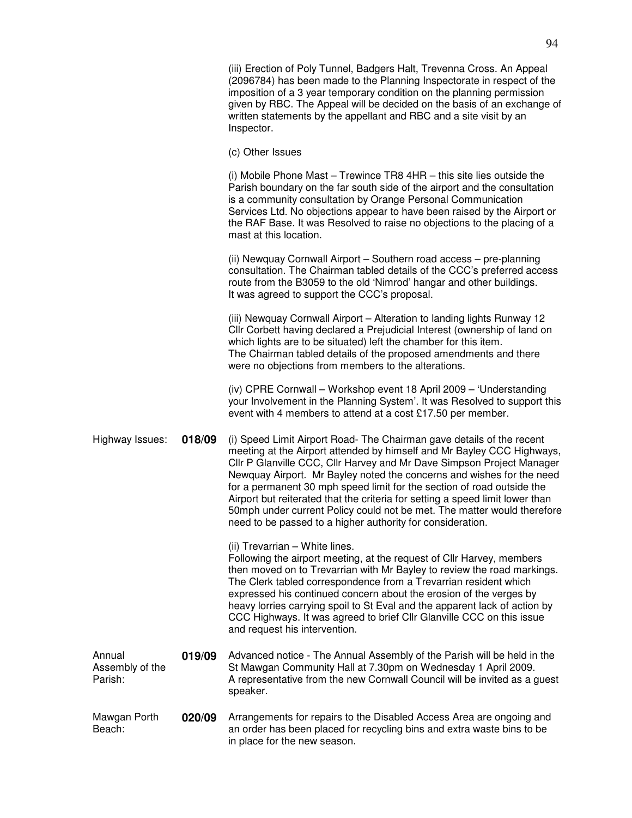(iii) Erection of Poly Tunnel, Badgers Halt, Trevenna Cross. An Appeal (2096784) has been made to the Planning Inspectorate in respect of the imposition of a 3 year temporary condition on the planning permission given by RBC. The Appeal will be decided on the basis of an exchange of written statements by the appellant and RBC and a site visit by an Inspector.

(c) Other Issues

(i) Mobile Phone Mast – Trewince TR8 4HR – this site lies outside the Parish boundary on the far south side of the airport and the consultation is a community consultation by Orange Personal Communication Services Ltd. No objections appear to have been raised by the Airport or the RAF Base. It was Resolved to raise no objections to the placing of a mast at this location.

(ii) Newquay Cornwall Airport – Southern road access – pre-planning consultation. The Chairman tabled details of the CCC's preferred access route from the B3059 to the old 'Nimrod' hangar and other buildings. It was agreed to support the CCC's proposal.

(iii) Newquay Cornwall Airport – Alteration to landing lights Runway 12 Cllr Corbett having declared a Prejudicial Interest (ownership of land on which lights are to be situated) left the chamber for this item. The Chairman tabled details of the proposed amendments and there were no objections from members to the alterations.

(iv) CPRE Cornwall – Workshop event 18 April 2009 – 'Understanding your Involvement in the Planning System'. It was Resolved to support this event with 4 members to attend at a cost £17.50 per member.

Highway Issues: **018/09** (i) Speed Limit Airport Road- The Chairman gave details of the recent meeting at the Airport attended by himself and Mr Bayley CCC Highways, Cllr P Glanville CCC, Cllr Harvey and Mr Dave Simpson Project Manager Newquay Airport. Mr Bayley noted the concerns and wishes for the need for a permanent 30 mph speed limit for the section of road outside the Airport but reiterated that the criteria for setting a speed limit lower than 50mph under current Policy could not be met. The matter would therefore need to be passed to a higher authority for consideration.

(ii) Trevarrian – White lines.

Following the airport meeting, at the request of Cllr Harvey, members then moved on to Trevarrian with Mr Bayley to review the road markings. The Clerk tabled correspondence from a Trevarrian resident which expressed his continued concern about the erosion of the verges by heavy lorries carrying spoil to St Eval and the apparent lack of action by CCC Highways. It was agreed to brief Cllr Glanville CCC on this issue and request his intervention.

- Annual Assembly of the Parish: **019/09** Advanced notice - The Annual Assembly of the Parish will be held in the St Mawgan Community Hall at 7.30pm on Wednesday 1 April 2009. A representative from the new Cornwall Council will be invited as a guest speaker.
- Mawgan Porth Beach: **020/09** Arrangements for repairs to the Disabled Access Area are ongoing and an order has been placed for recycling bins and extra waste bins to be in place for the new season.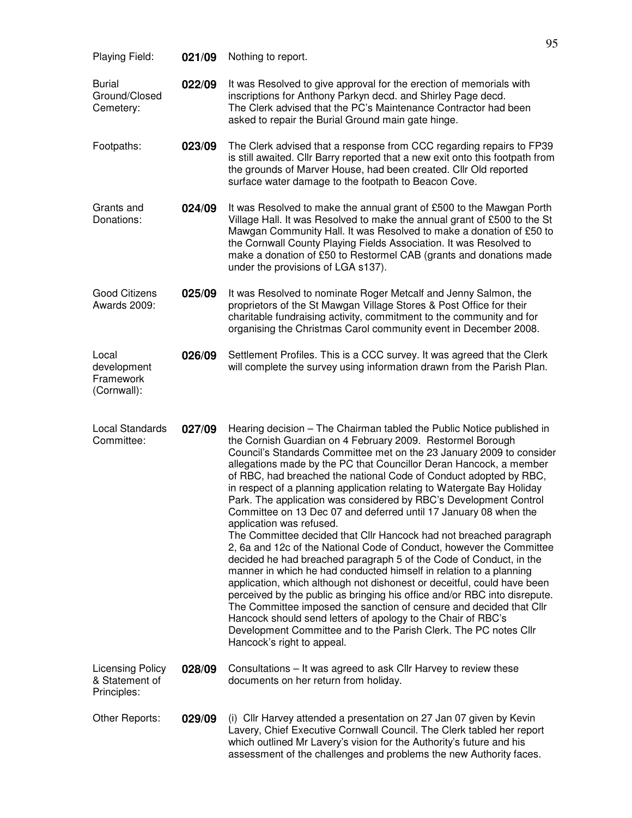| Playing Field:                                    | 021/09 | Nothing to report.                                                                                                                                                                                                                                                                                                                                                                                                                                                                                                                                                                                                                                                                                                                                                                                                                                                                                                                                                                                                                                                                                                                                                                                                                                                                               |
|---------------------------------------------------|--------|--------------------------------------------------------------------------------------------------------------------------------------------------------------------------------------------------------------------------------------------------------------------------------------------------------------------------------------------------------------------------------------------------------------------------------------------------------------------------------------------------------------------------------------------------------------------------------------------------------------------------------------------------------------------------------------------------------------------------------------------------------------------------------------------------------------------------------------------------------------------------------------------------------------------------------------------------------------------------------------------------------------------------------------------------------------------------------------------------------------------------------------------------------------------------------------------------------------------------------------------------------------------------------------------------|
| <b>Burial</b><br>Ground/Closed<br>Cemetery:       | 022/09 | It was Resolved to give approval for the erection of memorials with<br>inscriptions for Anthony Parkyn decd. and Shirley Page decd.<br>The Clerk advised that the PC's Maintenance Contractor had been<br>asked to repair the Burial Ground main gate hinge.                                                                                                                                                                                                                                                                                                                                                                                                                                                                                                                                                                                                                                                                                                                                                                                                                                                                                                                                                                                                                                     |
| Footpaths:                                        | 023/09 | The Clerk advised that a response from CCC regarding repairs to FP39<br>is still awaited. Cllr Barry reported that a new exit onto this footpath from<br>the grounds of Marver House, had been created. Cllr Old reported<br>surface water damage to the footpath to Beacon Cove.                                                                                                                                                                                                                                                                                                                                                                                                                                                                                                                                                                                                                                                                                                                                                                                                                                                                                                                                                                                                                |
| Grants and<br>Donations:                          | 024/09 | It was Resolved to make the annual grant of £500 to the Mawgan Porth<br>Village Hall. It was Resolved to make the annual grant of £500 to the St<br>Mawgan Community Hall. It was Resolved to make a donation of £50 to<br>the Cornwall County Playing Fields Association. It was Resolved to<br>make a donation of £50 to Restormel CAB (grants and donations made<br>under the provisions of LGA s137).                                                                                                                                                                                                                                                                                                                                                                                                                                                                                                                                                                                                                                                                                                                                                                                                                                                                                        |
| <b>Good Citizens</b><br>Awards 2009:              | 025/09 | It was Resolved to nominate Roger Metcalf and Jenny Salmon, the<br>proprietors of the St Mawgan Village Stores & Post Office for their<br>charitable fundraising activity, commitment to the community and for<br>organising the Christmas Carol community event in December 2008.                                                                                                                                                                                                                                                                                                                                                                                                                                                                                                                                                                                                                                                                                                                                                                                                                                                                                                                                                                                                               |
| Local<br>development<br>Framework<br>(Cornwall):  | 026/09 | Settlement Profiles. This is a CCC survey. It was agreed that the Clerk<br>will complete the survey using information drawn from the Parish Plan.                                                                                                                                                                                                                                                                                                                                                                                                                                                                                                                                                                                                                                                                                                                                                                                                                                                                                                                                                                                                                                                                                                                                                |
| <b>Local Standards</b><br>Committee:              | 027/09 | Hearing decision - The Chairman tabled the Public Notice published in<br>the Cornish Guardian on 4 February 2009. Restormel Borough<br>Council's Standards Committee met on the 23 January 2009 to consider<br>allegations made by the PC that Councillor Deran Hancock, a member<br>of RBC, had breached the national Code of Conduct adopted by RBC,<br>in respect of a planning application relating to Watergate Bay Holiday<br>Park. The application was considered by RBC's Development Control<br>Committee on 13 Dec 07 and deferred until 17 January 08 when the<br>application was refused.<br>The Committee decided that Cllr Hancock had not breached paragraph<br>2, 6a and 12c of the National Code of Conduct, however the Committee<br>decided he had breached paragraph 5 of the Code of Conduct, in the<br>manner in which he had conducted himself in relation to a planning<br>application, which although not dishonest or deceitful, could have been<br>perceived by the public as bringing his office and/or RBC into disrepute.<br>The Committee imposed the sanction of censure and decided that Cllr<br>Hancock should send letters of apology to the Chair of RBC's<br>Development Committee and to the Parish Clerk. The PC notes Cllr<br>Hancock's right to appeal. |
| Licensing Policy<br>& Statement of<br>Principles: | 028/09 | Consultations - It was agreed to ask Cllr Harvey to review these<br>documents on her return from holiday.                                                                                                                                                                                                                                                                                                                                                                                                                                                                                                                                                                                                                                                                                                                                                                                                                                                                                                                                                                                                                                                                                                                                                                                        |
| Other Reports:                                    | 029/09 | (i) Cllr Harvey attended a presentation on 27 Jan 07 given by Kevin<br>Lavery, Chief Executive Cornwall Council. The Clerk tabled her report<br>which outlined Mr Lavery's vision for the Authority's future and his<br>assessment of the challenges and problems the new Authority faces.                                                                                                                                                                                                                                                                                                                                                                                                                                                                                                                                                                                                                                                                                                                                                                                                                                                                                                                                                                                                       |

95